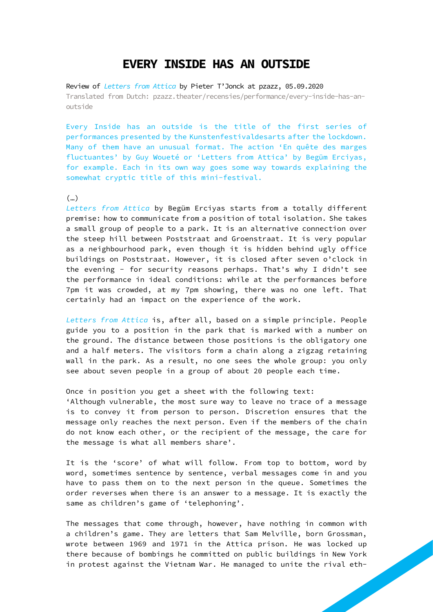## **EVERY INSIDE HAS AN OUTSIDE**

Review of *[Letters from Attica](https://www.hiros.be/en/projects/detail/letters-from-attica)* by Pieter T'Jonck at pzazz, 05.09.2020 Translated from Dutch: [pzazz.theater/recensies/performance/every-inside-has-an](https://www.pzazz.theater/recensies/performance/every-inside-has-an-outside)[outside](https://www.pzazz.theater/recensies/performance/every-inside-has-an-outside)

Every Inside has an outside is the title of the first series of performances presented by the Kunstenfestivaldesarts after the lockdown. Many of them have an unusual format. The action 'En quête des marges fluctuantes' by Guy Woueté or 'Letters from Attica' by Begüm Erciyas, for example. Each in its own way goes some way towards explaining the somewhat cryptic title of this mini-festival.

## (…)

*Letters from Attica* by Begüm Erciyas starts from a totally different premise: how to communicate from a position of total isolation. She takes a small group of people to a park. It is an alternative connection over the steep hill between Poststraat and Groenstraat. It is very popular as a neighbourhood park, even though it is hidden behind ugly office buildings on Poststraat. However, it is closed after seven o'clock in the evening - for security reasons perhaps. That's why I didn't see the performance in ideal conditions: while at the performances before 7pm it was crowded, at my 7pm showing, there was no one left. That certainly had an impact on the experience of the work.

*Letters from Attica* is, after all, based on a simple principle. People guide you to a position in the park that is marked with a number on the ground. The distance between those positions is the obligatory one and a half meters. The visitors form a chain along a zigzag retaining wall in the park. As a result, no one sees the whole group: you only see about seven people in a group of about 20 people each time.

## Once in position you get a sheet with the following text:

'Although vulnerable, the most sure way to leave no trace of a message is to convey it from person to person. Discretion ensures that the message only reaches the next person. Even if the members of the chain do not know each other, or the recipient of the message, the care for the message is what all members share'.

It is the 'score' of what will follow. From top to bottom, word by word, sometimes sentence by sentence, verbal messages come in and you have to pass them on to the next person in the queue. Sometimes the order reverses when there is an answer to a message. It is exactly the same as children's game of 'telephoning'.

The messages that come through, however, have nothing in common with a children's game. They are letters that Sam Melville, born Grossman, wrote between 1969 and 1971 in the Attica prison. He was locked up there because of bombings he committed on public buildings in New York in protest against the Vietnam War. He managed to unite the rival eth